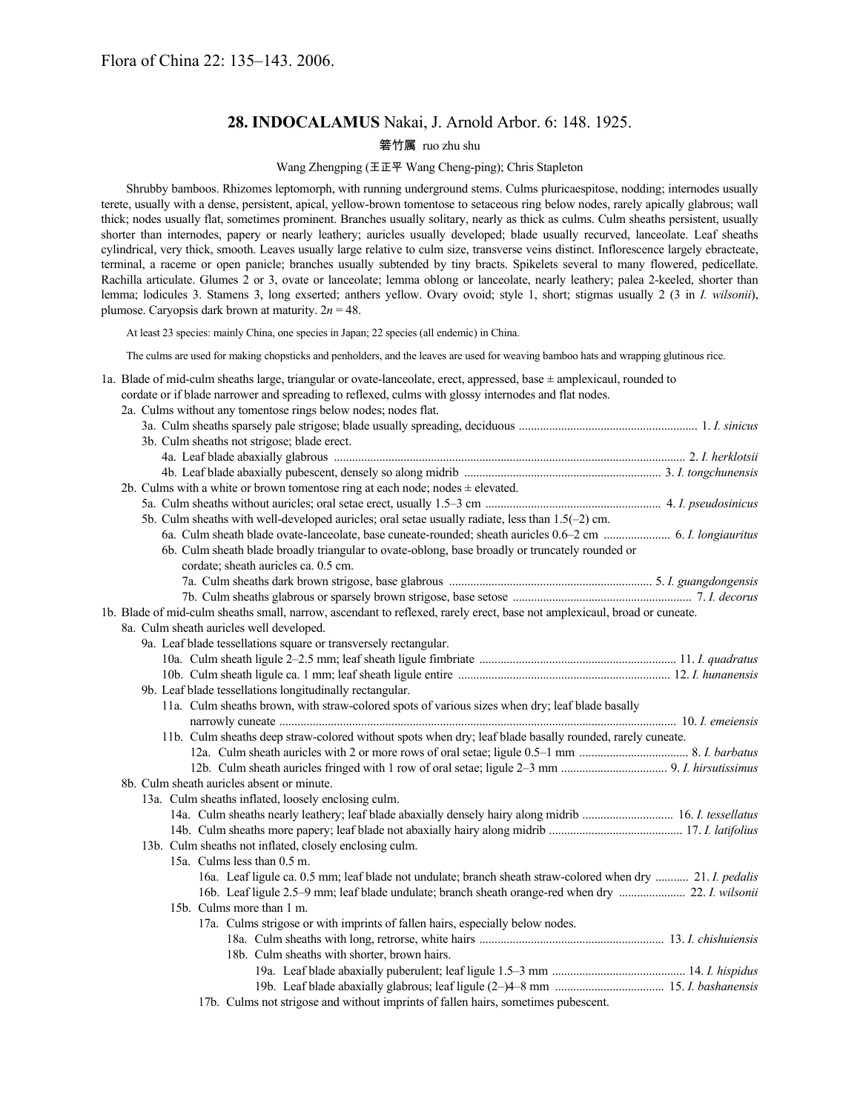# **28. INDOCALAMUS** Nakai, J. Arnold Arbor. 6: 148. 1925.

# 箬竹属 ruo zhu shu

## Wang Zhengping (王正平 Wang Cheng-ping); Chris Stapleton

Shrubby bamboos. Rhizomes leptomorph, with running underground stems. Culms pluricaespitose, nodding; internodes usually terete, usually with a dense, persistent, apical, yellow-brown tomentose to setaceous ring below nodes, rarely apically glabrous; wall thick; nodes usually flat, sometimes prominent. Branches usually solitary, nearly as thick as culms. Culm sheaths persistent, usually shorter than internodes, papery or nearly leathery; auricles usually developed; blade usually recurved, lanceolate. Leaf sheaths cylindrical, very thick, smooth. Leaves usually large relative to culm size, transverse veins distinct. Inflorescence largely ebracteate, terminal, a raceme or open panicle; branches usually subtended by tiny bracts. Spikelets several to many flowered, pedicellate. Rachilla articulate. Glumes 2 or 3, ovate or lanceolate; lemma oblong or lanceolate, nearly leathery; palea 2-keeled, shorter than lemma; lodicules 3. Stamens 3, long exserted; anthers yellow. Ovary ovoid; style 1, short; stigmas usually 2 (3 in *I. wilsonii*), plumose. Caryopsis dark brown at maturity.  $2n = 48$ .

At least 23 species: mainly China, one species in Japan; 22 species (all endemic) in China.

2a. Culms without any tomentose rings below nodes; nodes flat.

The culms are used for making chopsticks and penholders, and the leaves are used for weaving bamboo hats and wrapping glutinous rice.

1a. Blade of mid-culm sheaths large, triangular or ovate-lanceolate, erect, appressed, base  $\pm$  amplexicaul, rounded to

## cordate or if blade narrower and spreading to reflexed, culms with glossy internodes and flat nodes.

| 3b. Culm sheaths not strigose; blade erect.                                                                               |  |
|---------------------------------------------------------------------------------------------------------------------------|--|
|                                                                                                                           |  |
|                                                                                                                           |  |
| 2b. Culms with a white or brown tomentose ring at each node; nodes $\pm$ elevated.                                        |  |
|                                                                                                                           |  |
| 5b. Culm sheaths with well-developed auricles; oral setae usually radiate, less than 1.5(-2) cm.                          |  |
|                                                                                                                           |  |
| 6b. Culm sheath blade broadly triangular to ovate-oblong, base broadly or truncately rounded or                           |  |
| cordate; sheath auricles ca. 0.5 cm.                                                                                      |  |
|                                                                                                                           |  |
|                                                                                                                           |  |
| 1b. Blade of mid-culm sheaths small, narrow, ascendant to reflexed, rarely erect, base not amplexicaul, broad or cuneate. |  |
| 8a. Culm sheath auricles well developed.                                                                                  |  |
| 9a. Leaf blade tessellations square or transversely rectangular.                                                          |  |
|                                                                                                                           |  |
|                                                                                                                           |  |
| 9b. Leaf blade tessellations longitudinally rectangular.                                                                  |  |
| 11a. Culm sheaths brown, with straw-colored spots of various sizes when dry; leaf blade basally                           |  |
|                                                                                                                           |  |
| 11b. Culm sheaths deep straw-colored without spots when dry; leaf blade basally rounded, rarely cuneate.                  |  |
|                                                                                                                           |  |
|                                                                                                                           |  |
| 8b. Culm sheath auricles absent or minute.                                                                                |  |
| 13a. Culm sheaths inflated, loosely enclosing culm.                                                                       |  |
|                                                                                                                           |  |
|                                                                                                                           |  |
| 13b. Culm sheaths not inflated, closely enclosing culm.                                                                   |  |
| 15a. Culms less than 0.5 m.                                                                                               |  |
| 16a. Leaf ligule ca. 0.5 mm; leaf blade not undulate; branch sheath straw-colored when dry  21. I. pedalis                |  |
| 16b. Leaf ligule 2.5-9 mm; leaf blade undulate; branch sheath orange-red when dry  22. I. wilsonii                        |  |
| 15b. Culms more than 1 m.                                                                                                 |  |
| 17a. Culms strigose or with imprints of fallen hairs, especially below nodes.                                             |  |
|                                                                                                                           |  |
| 18b. Culm sheaths with shorter, brown hairs.                                                                              |  |
|                                                                                                                           |  |
|                                                                                                                           |  |

17b. Culms not strigose and without imprints of fallen hairs, sometimes pubescent.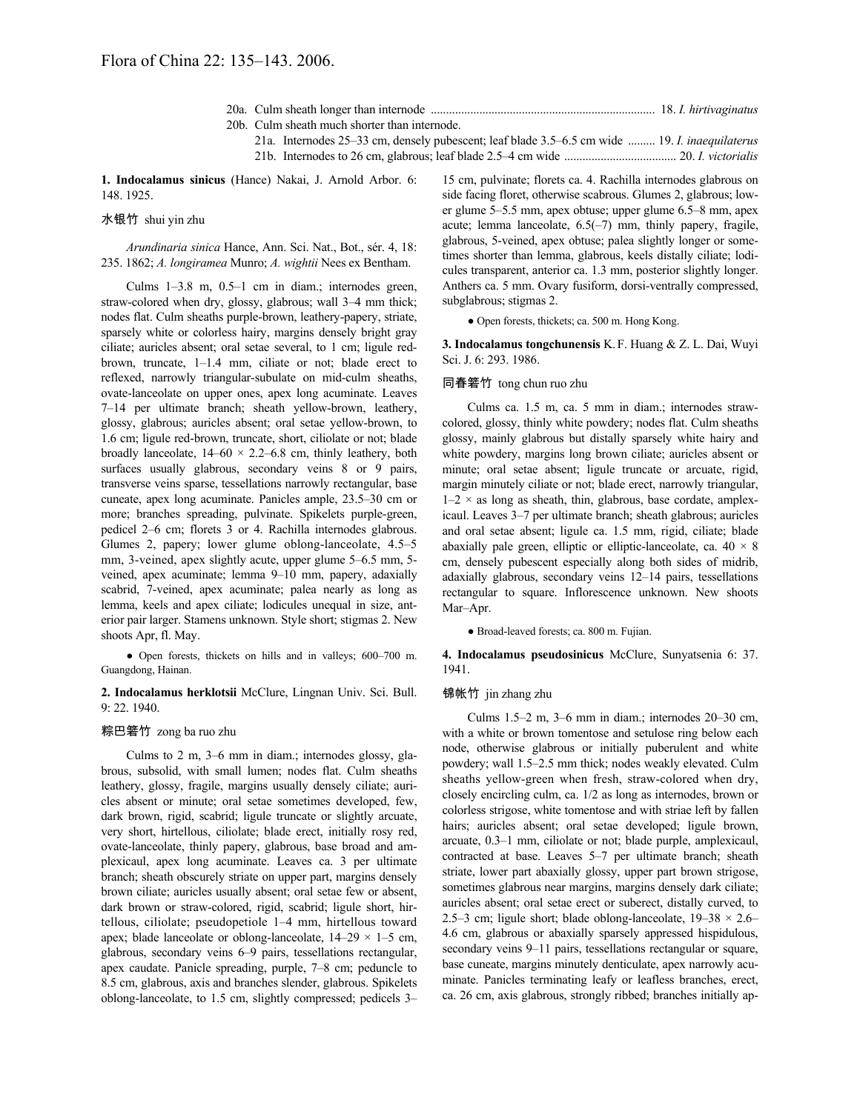|  | $\bullet$ . The set of the set of the set of the set of the set of the set of the set of the set of the set of the set of the set of the set of the set of the set of the set of the set of the set of the set of the set of the s |  |  |  |
|--|------------------------------------------------------------------------------------------------------------------------------------------------------------------------------------------------------------------------------------|--|--|--|

20b. Culm sheath much shorter than internode. 21a. Internodes 25–33 cm, densely pubescent; leaf blade 3.5–6.5 cm wide ......... 19. *I. inaequilaterus*

21b. Internodes to 26 cm, glabrous; leaf blade 2.5–4 cm wide ..................................... 20. *I. victorialis*

**1. Indocalamus sinicus** (Hance) Nakai, J. Arnold Arbor. 6: 148. 1925.

## 水银竹 shui yin zhu

*Arundinaria sinica* Hance, Ann. Sci. Nat., Bot., sér. 4, 18: 235. 1862; *A. longiramea* Munro; *A. wightii* Nees ex Bentham.

Culms 1–3.8 m, 0.5–1 cm in diam.; internodes green, straw-colored when dry, glossy, glabrous; wall 3–4 mm thick; nodes flat. Culm sheaths purple-brown, leathery-papery, striate, sparsely white or colorless hairy, margins densely bright gray ciliate; auricles absent; oral setae several, to 1 cm; ligule redbrown, truncate, 1–1.4 mm, ciliate or not; blade erect to reflexed, narrowly triangular-subulate on mid-culm sheaths, ovate-lanceolate on upper ones, apex long acuminate. Leaves 7–14 per ultimate branch; sheath yellow-brown, leathery, glossy, glabrous; auricles absent; oral setae yellow-brown, to 1.6 cm; ligule red-brown, truncate, short, ciliolate or not; blade broadly lanceolate,  $14–60 \times 2.2–6.8$  cm, thinly leathery, both surfaces usually glabrous, secondary veins 8 or 9 pairs, transverse veins sparse, tessellations narrowly rectangular, base cuneate, apex long acuminate. Panicles ample, 23.5–30 cm or more; branches spreading, pulvinate. Spikelets purple-green, pedicel 2–6 cm; florets 3 or 4. Rachilla internodes glabrous. Glumes 2, papery; lower glume oblong-lanceolate, 4.5–5 mm, 3-veined, apex slightly acute, upper glume 5–6.5 mm, 5 veined, apex acuminate; lemma 9–10 mm, papery, adaxially scabrid, 7-veined, apex acuminate; palea nearly as long as lemma, keels and apex ciliate; lodicules unequal in size, anterior pair larger. Stamens unknown. Style short; stigmas 2. New shoots Apr, fl. May.

● Open forests, thickets on hills and in valleys; 600–700 m. Guangdong, Hainan.

**2. Indocalamus herklotsii** McClure, Lingnan Univ. Sci. Bull. 9: 22. 1940.

#### 粽巴箬竹 zong ba ruo zhu

Culms to 2 m, 3–6 mm in diam.; internodes glossy, glabrous, subsolid, with small lumen; nodes flat. Culm sheaths leathery, glossy, fragile, margins usually densely ciliate; auricles absent or minute; oral setae sometimes developed, few, dark brown, rigid, scabrid; ligule truncate or slightly arcuate, very short, hirtellous, ciliolate; blade erect, initially rosy red, ovate-lanceolate, thinly papery, glabrous, base broad and amplexicaul, apex long acuminate. Leaves ca. 3 per ultimate branch; sheath obscurely striate on upper part, margins densely brown ciliate; auricles usually absent; oral setae few or absent, dark brown or straw-colored, rigid, scabrid; ligule short, hirtellous, ciliolate; pseudopetiole 1–4 mm, hirtellous toward apex; blade lanceolate or oblong-lanceolate,  $14-29 \times 1-5$  cm, glabrous, secondary veins 6–9 pairs, tessellations rectangular, apex caudate. Panicle spreading, purple, 7–8 cm; peduncle to 8.5 cm, glabrous, axis and branches slender, glabrous. Spikelets oblong-lanceolate, to 1.5 cm, slightly compressed; pedicels 3–

15 cm, pulvinate; florets ca. 4. Rachilla internodes glabrous on side facing floret, otherwise scabrous. Glumes 2, glabrous; lower glume 5–5.5 mm, apex obtuse; upper glume 6.5–8 mm, apex acute; lemma lanceolate, 6.5(–7) mm, thinly papery, fragile, glabrous, 5-veined, apex obtuse; palea slightly longer or sometimes shorter than lemma, glabrous, keels distally ciliate; lodicules transparent, anterior ca. 1.3 mm, posterior slightly longer. Anthers ca. 5 mm. Ovary fusiform, dorsi-ventrally compressed, subglabrous; stigmas 2.

● Open forests, thickets; ca. 500 m. Hong Kong.

**3. Indocalamus tongchunensis** K.F. Huang & Z. L. Dai, Wuyi Sci. J. 6: 293. 1986.

#### 同春箬竹 tong chun ruo zhu

Culms ca. 1.5 m, ca. 5 mm in diam.; internodes strawcolored, glossy, thinly white powdery; nodes flat. Culm sheaths glossy, mainly glabrous but distally sparsely white hairy and white powdery, margins long brown ciliate; auricles absent or minute; oral setae absent; ligule truncate or arcuate, rigid, margin minutely ciliate or not; blade erect, narrowly triangular,  $1-2 \times$  as long as sheath, thin, glabrous, base cordate, amplexicaul. Leaves 3–7 per ultimate branch; sheath glabrous; auricles and oral setae absent; ligule ca. 1.5 mm, rigid, ciliate; blade abaxially pale green, elliptic or elliptic-lanceolate, ca.  $40 \times 8$ cm, densely pubescent especially along both sides of midrib, adaxially glabrous, secondary veins 12–14 pairs, tessellations rectangular to square. Inflorescence unknown. New shoots Mar–Apr.

● Broad-leaved forests; ca. 800 m. Fujian.

**4. Indocalamus pseudosinicus** McClure, Sunyatsenia 6: 37. 1941.

## 锦帐竹 jin zhang zhu

Culms 1.5–2 m, 3–6 mm in diam.; internodes 20–30 cm, with a white or brown tomentose and setulose ring below each node, otherwise glabrous or initially puberulent and white powdery; wall 1.5–2.5 mm thick; nodes weakly elevated. Culm sheaths yellow-green when fresh, straw-colored when dry, closely encircling culm, ca. 1/2 as long as internodes, brown or colorless strigose, white tomentose and with striae left by fallen hairs; auricles absent; oral setae developed; ligule brown, arcuate, 0.3–1 mm, ciliolate or not; blade purple, amplexicaul, contracted at base. Leaves 5–7 per ultimate branch; sheath striate, lower part abaxially glossy, upper part brown strigose, sometimes glabrous near margins, margins densely dark ciliate; auricles absent; oral setae erect or suberect, distally curved, to 2.5–3 cm; ligule short; blade oblong-lanceolate,  $19-38 \times 2.6$ 4.6 cm, glabrous or abaxially sparsely appressed hispidulous, secondary veins 9–11 pairs, tessellations rectangular or square, base cuneate, margins minutely denticulate, apex narrowly acuminate. Panicles terminating leafy or leafless branches, erect, ca. 26 cm, axis glabrous, strongly ribbed; branches initially ap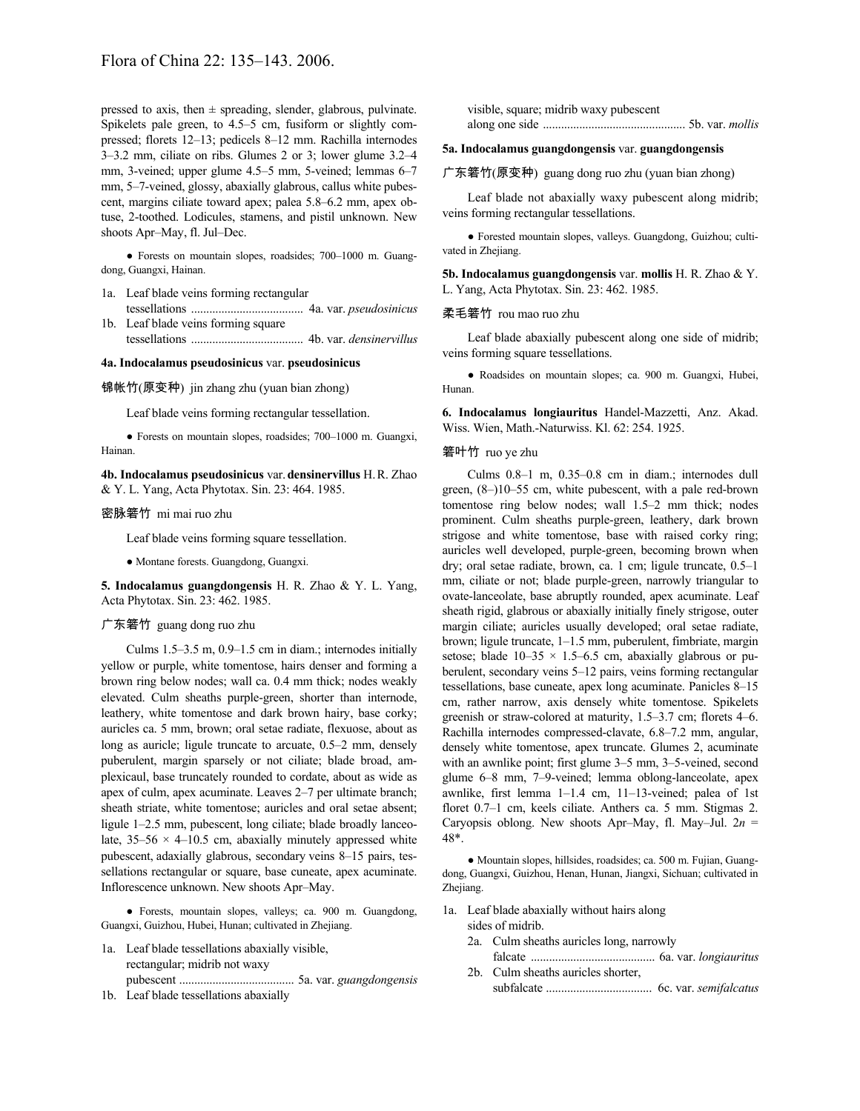pressed to axis, then  $\pm$  spreading, slender, glabrous, pulvinate. Spikelets pale green, to 4.5–5 cm, fusiform or slightly compressed; florets 12–13; pedicels 8–12 mm. Rachilla internodes 3–3.2 mm, ciliate on ribs. Glumes 2 or 3; lower glume 3.2–4 mm, 3-veined; upper glume 4.5–5 mm, 5-veined; lemmas 6–7 mm, 5–7-veined, glossy, abaxially glabrous, callus white pubescent, margins ciliate toward apex; palea 5.8–6.2 mm, apex obtuse, 2-toothed. Lodicules, stamens, and pistil unknown. New shoots Apr–May, fl. Jul–Dec.

● Forests on mountain slopes, roadsides; 700–1000 m. Guangdong, Guangxi, Hainan.

- 1a. Leaf blade veins forming rectangular tessellations ..................................... 4a. var. *pseudosinicus*
- 1b. Leaf blade veins forming square tessellations ..................................... 4b. var. *densinervillus*

## **4a. Indocalamus pseudosinicus** var. **pseudosinicus**

锦帐竹(原变种) jin zhang zhu (yuan bian zhong)

Leaf blade veins forming rectangular tessellation.

● Forests on mountain slopes, roadsides; 700–1000 m. Guangxi, Hainan.

**4b. Indocalamus pseudosinicus** var.**densinervillus** H.R. Zhao & Y. L. Yang, Acta Phytotax. Sin. 23: 464. 1985.

#### 密脉箬竹 mi mai ruo zhu

Leaf blade veins forming square tessellation.

● Montane forests. Guangdong, Guangxi.

**5. Indocalamus guangdongensis** H. R. Zhao & Y. L. Yang, Acta Phytotax. Sin. 23: 462. 1985.

## 广东箬竹 guang dong ruo zhu

Culms 1.5–3.5 m, 0.9–1.5 cm in diam.; internodes initially yellow or purple, white tomentose, hairs denser and forming a brown ring below nodes; wall ca. 0.4 mm thick; nodes weakly elevated. Culm sheaths purple-green, shorter than internode, leathery, white tomentose and dark brown hairy, base corky; auricles ca. 5 mm, brown; oral setae radiate, flexuose, about as long as auricle; ligule truncate to arcuate,  $0.5-2$  mm, densely puberulent, margin sparsely or not ciliate; blade broad, amplexicaul, base truncately rounded to cordate, about as wide as apex of culm, apex acuminate. Leaves 2–7 per ultimate branch; sheath striate, white tomentose; auricles and oral setae absent; ligule 1–2.5 mm, pubescent, long ciliate; blade broadly lanceolate,  $35-56 \times 4-10.5$  cm, abaxially minutely appressed white pubescent, adaxially glabrous, secondary veins 8–15 pairs, tessellations rectangular or square, base cuneate, apex acuminate. Inflorescence unknown. New shoots Apr–May.

● Forests, mountain slopes, valleys; ca. 900 m. Guangdong, Guangxi, Guizhou, Hubei, Hunan; cultivated in Zhejiang.

- 1a. Leaf blade tessellations abaxially visible, rectangular; midrib not waxy pubescent ...................................... 5a. var. *guangdongensis*
- 1b. Leaf blade tessellations abaxially

visible, square; midrib waxy pubescent along one side ............................................... 5b. var. *mollis*

#### **5a. Indocalamus guangdongensis** var. **guangdongensis**

广东箬竹(原变种) guang dong ruo zhu (yuan bian zhong)

Leaf blade not abaxially waxy pubescent along midrib; veins forming rectangular tessellations.

● Forested mountain slopes, valleys. Guangdong, Guizhou; cultivated in Zhejiang.

**5b. Indocalamus guangdongensis** var. **mollis** H. R. Zhao & Y. L. Yang, Acta Phytotax. Sin. 23: 462. 1985.

#### 柔毛箬竹 rou mao ruo zhu

Leaf blade abaxially pubescent along one side of midrib; veins forming square tessellations.

● Roadsides on mountain slopes; ca. 900 m. Guangxi, Hubei, Hunan.

**6. Indocalamus longiauritus** Handel-Mazzetti, Anz. Akad. Wiss. Wien, Math.-Naturwiss. Kl. 62: 254. 1925.

#### 箬叶竹 ruo ye zhu

Culms 0.8–1 m, 0.35–0.8 cm in diam.; internodes dull green, (8–)10–55 cm, white pubescent, with a pale red-brown tomentose ring below nodes; wall 1.5–2 mm thick; nodes prominent. Culm sheaths purple-green, leathery, dark brown strigose and white tomentose, base with raised corky ring; auricles well developed, purple-green, becoming brown when dry; oral setae radiate, brown, ca. 1 cm; ligule truncate, 0.5–1 mm, ciliate or not; blade purple-green, narrowly triangular to ovate-lanceolate, base abruptly rounded, apex acuminate. Leaf sheath rigid, glabrous or abaxially initially finely strigose, outer margin ciliate; auricles usually developed; oral setae radiate, brown; ligule truncate, 1–1.5 mm, puberulent, fimbriate, margin setose; blade  $10-35 \times 1.5-6.5$  cm, abaxially glabrous or puberulent, secondary veins 5–12 pairs, veins forming rectangular tessellations, base cuneate, apex long acuminate. Panicles 8–15 cm, rather narrow, axis densely white tomentose. Spikelets greenish or straw-colored at maturity, 1.5–3.7 cm; florets 4–6. Rachilla internodes compressed-clavate, 6.8–7.2 mm, angular, densely white tomentose, apex truncate. Glumes 2, acuminate with an awnlike point; first glume 3–5 mm, 3–5-veined, second glume 6–8 mm, 7–9-veined; lemma oblong-lanceolate, apex awnlike, first lemma 1–1.4 cm, 11–13-veined; palea of 1st floret 0.7–1 cm, keels ciliate. Anthers ca. 5 mm. Stigmas 2. Caryopsis oblong. New shoots Apr–May, fl. May–Jul. 2*n* = 48\*.

● Mountain slopes, hillsides, roadsides; ca. 500 m. Fujian, Guangdong, Guangxi, Guizhou, Henan, Hunan, Jiangxi, Sichuan; cultivated in Zhejiang.

1a. Leaf blade abaxially without hairs along

sides of midrib.

- 2a. Culm sheaths auricles long, narrowly
- falcate ......................................... 6a. var. *longiauritus* 2b. Culm sheaths auricles shorter,
	- subfalcate ................................... 6c. var. *semifalcatus*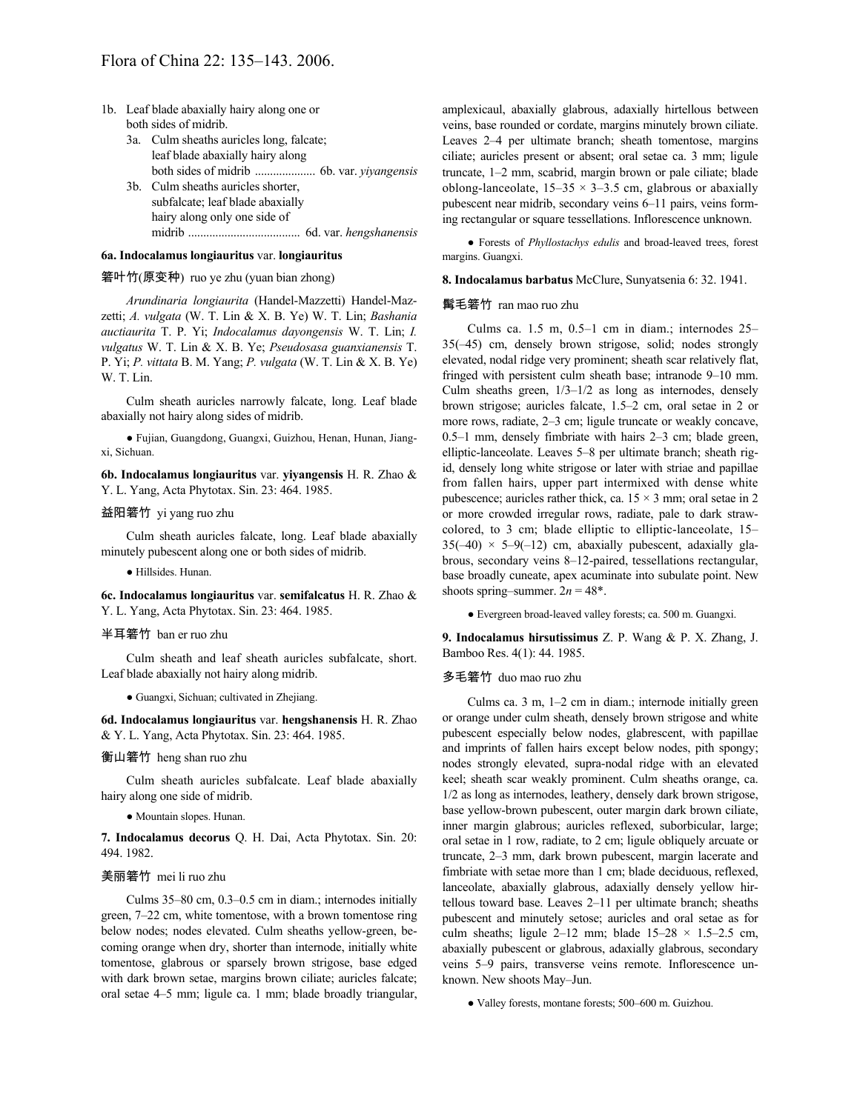- 1b. Leaf blade abaxially hairy along one or both sides of midrib.
	- 3a. Culm sheaths auricles long, falcate; leaf blade abaxially hairy along both sides of midrib .................... 6b. var. *yiyangensis* 3b. Culm sheaths auricles shorter,
	- subfalcate; leaf blade abaxially hairy along only one side of midrib ..................................... 6d. var. *hengshanensis*

#### **6a. Indocalamus longiauritus** var. **longiauritus**

### 箬叶竹(原变种) ruo ye zhu (yuan bian zhong)

*Arundinaria longiaurita* (Handel-Mazzetti) Handel-Mazzetti; *A. vulgata* (W. T. Lin & X. B. Ye) W. T. Lin; *Bashania auctiaurita* T. P. Yi; *Indocalamus dayongensis* W. T. Lin; *I. vulgatus* W. T. Lin & X. B. Ye; *Pseudosasa guanxianensis* T. P. Yi; *P. vittata* B. M. Yang; *P. vulgata* (W. T. Lin & X. B. Ye) W. T. Lin.

Culm sheath auricles narrowly falcate, long. Leaf blade abaxially not hairy along sides of midrib.

● Fujian, Guangdong, Guangxi, Guizhou, Henan, Hunan, Jiangxi, Sichuan.

**6b. Indocalamus longiauritus** var. **yiyangensis** H. R. Zhao & Y. L. Yang, Acta Phytotax. Sin. 23: 464. 1985.

#### 益阳箬竹 yi yang ruo zhu

Culm sheath auricles falcate, long. Leaf blade abaxially minutely pubescent along one or both sides of midrib.

● Hillsides. Hunan.

**6c. Indocalamus longiauritus** var. **semifalcatus** H. R. Zhao & Y. L. Yang, Acta Phytotax. Sin. 23: 464. 1985.

#### 半耳箬竹 ban er ruo zhu

Culm sheath and leaf sheath auricles subfalcate, short. Leaf blade abaxially not hairy along midrib.

● Guangxi, Sichuan; cultivated in Zhejiang.

**6d. Indocalamus longiauritus** var. **hengshanensis** H. R. Zhao & Y. L. Yang, Acta Phytotax. Sin. 23: 464. 1985.

## 衡山箬竹 heng shan ruo zhu

Culm sheath auricles subfalcate. Leaf blade abaxially hairy along one side of midrib.

● Mountain slopes. Hunan.

**7. Indocalamus decorus** Q. H. Dai, Acta Phytotax. Sin. 20: 494. 1982.

#### 美丽箬竹 mei li ruo zhu

Culms 35–80 cm, 0.3–0.5 cm in diam.; internodes initially green, 7–22 cm, white tomentose, with a brown tomentose ring below nodes; nodes elevated. Culm sheaths yellow-green, becoming orange when dry, shorter than internode, initially white tomentose, glabrous or sparsely brown strigose, base edged with dark brown setae, margins brown ciliate; auricles falcate; oral setae 4–5 mm; ligule ca. 1 mm; blade broadly triangular, amplexicaul, abaxially glabrous, adaxially hirtellous between veins, base rounded or cordate, margins minutely brown ciliate. Leaves 2–4 per ultimate branch; sheath tomentose, margins ciliate; auricles present or absent; oral setae ca. 3 mm; ligule truncate, 1–2 mm, scabrid, margin brown or pale ciliate; blade oblong-lanceolate,  $15-35 \times 3-3.5$  cm, glabrous or abaxially pubescent near midrib, secondary veins 6–11 pairs, veins forming rectangular or square tessellations. Inflorescence unknown.

● Forests of *Phyllostachys edulis* and broad-leaved trees, forest margins. Guangxi.

**8. Indocalamus barbatus** McClure, Sunyatsenia 6: 32. 1941.

#### 髯毛箬竹 ran mao ruo zhu

Culms ca. 1.5 m, 0.5–1 cm in diam.; internodes 25– 35(–45) cm, densely brown strigose, solid; nodes strongly elevated, nodal ridge very prominent; sheath scar relatively flat, fringed with persistent culm sheath base; intranode 9–10 mm. Culm sheaths green,  $1/3-1/2$  as long as internodes, densely brown strigose; auricles falcate, 1.5–2 cm, oral setae in 2 or more rows, radiate, 2–3 cm; ligule truncate or weakly concave, 0.5–1 mm, densely fimbriate with hairs 2–3 cm; blade green, elliptic-lanceolate. Leaves 5–8 per ultimate branch; sheath rigid, densely long white strigose or later with striae and papillae from fallen hairs, upper part intermixed with dense white pubescence; auricles rather thick, ca.  $15 \times 3$  mm; oral setae in 2 or more crowded irregular rows, radiate, pale to dark strawcolored, to 3 cm; blade elliptic to elliptic-lanceolate, 15–  $35(-40) \times 5-9(-12)$  cm, abaxially pubescent, adaxially glabrous, secondary veins 8–12-paired, tessellations rectangular, base broadly cuneate, apex acuminate into subulate point. New shoots spring–summer.  $2n = 48^*$ .

● Evergreen broad-leaved valley forests; ca. 500 m. Guangxi.

**9. Indocalamus hirsutissimus** Z. P. Wang & P. X. Zhang, J. Bamboo Res. 4(1): 44. 1985.

#### 多毛箬竹 duo mao ruo zhu

Culms ca. 3 m, 1–2 cm in diam.; internode initially green or orange under culm sheath, densely brown strigose and white pubescent especially below nodes, glabrescent, with papillae and imprints of fallen hairs except below nodes, pith spongy; nodes strongly elevated, supra-nodal ridge with an elevated keel; sheath scar weakly prominent. Culm sheaths orange, ca. 1/2 as long as internodes, leathery, densely dark brown strigose, base yellow-brown pubescent, outer margin dark brown ciliate, inner margin glabrous; auricles reflexed, suborbicular, large; oral setae in 1 row, radiate, to 2 cm; ligule obliquely arcuate or truncate, 2–3 mm, dark brown pubescent, margin lacerate and fimbriate with setae more than 1 cm; blade deciduous, reflexed, lanceolate, abaxially glabrous, adaxially densely yellow hirtellous toward base. Leaves 2–11 per ultimate branch; sheaths pubescent and minutely setose; auricles and oral setae as for culm sheaths; ligule 2–12 mm; blade  $15-28 \times 1.5-2.5$  cm, abaxially pubescent or glabrous, adaxially glabrous, secondary veins 5–9 pairs, transverse veins remote. Inflorescence unknown. New shoots May–Jun.

● Valley forests, montane forests; 500–600 m. Guizhou.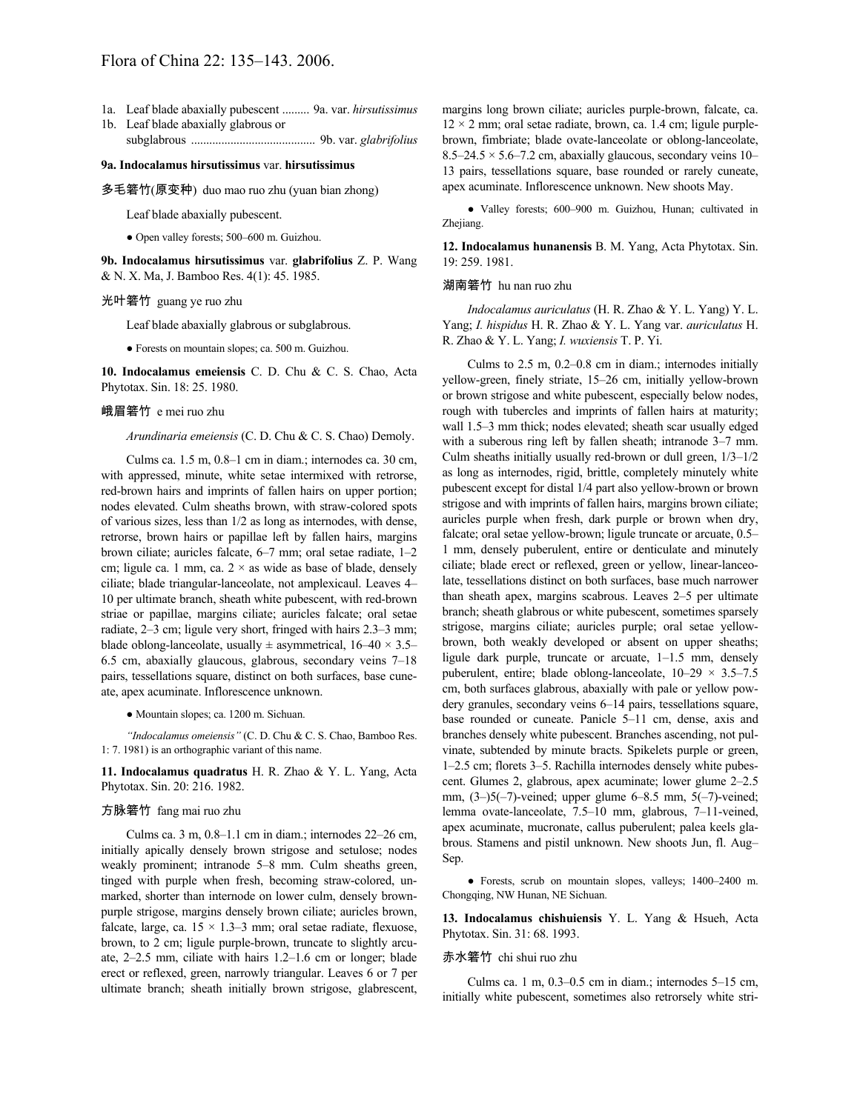# Flora of China 22: 135–143. 2006.

- 1a. Leaf blade abaxially pubescent ......... 9a. var. *hirsutissimus*
- 1b. Leaf blade abaxially glabrous or subglabrous ......................................... 9b. var. *glabrifolius*

#### **9a. Indocalamus hirsutissimus** var. **hirsutissimus**

多毛箬竹(原变种) duo mao ruo zhu (yuan bian zhong)

Leaf blade abaxially pubescent.

● Open valley forests; 500–600 m. Guizhou.

**9b. Indocalamus hirsutissimus** var. **glabrifolius** Z. P. Wang & N. X. Ma, J. Bamboo Res. 4(1): 45. 1985.

#### 光叶箬竹 guang ye ruo zhu

Leaf blade abaxially glabrous or subglabrous.

● Forests on mountain slopes; ca. 500 m. Guizhou.

**10. Indocalamus emeiensis** C. D. Chu & C. S. Chao, Acta Phytotax. Sin. 18: 25. 1980.

## 峨眉箬竹 e mei ruo zhu

*Arundinaria emeiensis* (C. D. Chu & C. S. Chao) Demoly.

Culms ca. 1.5 m, 0.8–1 cm in diam.; internodes ca. 30 cm, with appressed, minute, white setae intermixed with retrorse, red-brown hairs and imprints of fallen hairs on upper portion; nodes elevated. Culm sheaths brown, with straw-colored spots of various sizes, less than 1/2 as long as internodes, with dense, retrorse, brown hairs or papillae left by fallen hairs, margins brown ciliate; auricles falcate, 6–7 mm; oral setae radiate, 1–2 cm; ligule ca. 1 mm, ca.  $2 \times$  as wide as base of blade, densely ciliate; blade triangular-lanceolate, not amplexicaul. Leaves 4– 10 per ultimate branch, sheath white pubescent, with red-brown striae or papillae, margins ciliate; auricles falcate; oral setae radiate, 2–3 cm; ligule very short, fringed with hairs 2.3–3 mm; blade oblong-lanceolate, usually  $\pm$  asymmetrical, 16–40  $\times$  3.5– 6.5 cm, abaxially glaucous, glabrous, secondary veins 7–18 pairs, tessellations square, distinct on both surfaces, base cuneate, apex acuminate. Inflorescence unknown.

● Mountain slopes; ca. 1200 m. Sichuan.

*"Indocalamus omeiensis"* (C. D. Chu & C. S. Chao, Bamboo Res. 1: 7. 1981) is an orthographic variant of this name.

**11. Indocalamus quadratus** H. R. Zhao & Y. L. Yang, Acta Phytotax. Sin. 20: 216. 1982.

### 方脉箬竹 fang mai ruo zhu

Culms ca. 3 m, 0.8–1.1 cm in diam.; internodes 22–26 cm, initially apically densely brown strigose and setulose; nodes weakly prominent; intranode 5–8 mm. Culm sheaths green, tinged with purple when fresh, becoming straw-colored, unmarked, shorter than internode on lower culm, densely brownpurple strigose, margins densely brown ciliate; auricles brown, falcate, large, ca.  $15 \times 1.3-3$  mm; oral setae radiate, flexuose, brown, to 2 cm; ligule purple-brown, truncate to slightly arcuate, 2–2.5 mm, ciliate with hairs 1.2–1.6 cm or longer; blade erect or reflexed, green, narrowly triangular. Leaves 6 or 7 per ultimate branch; sheath initially brown strigose, glabrescent, margins long brown ciliate; auricles purple-brown, falcate, ca.  $12 \times 2$  mm; oral setae radiate, brown, ca. 1.4 cm; ligule purplebrown, fimbriate; blade ovate-lanceolate or oblong-lanceolate,  $8.5-24.5 \times 5.6-7.2$  cm, abaxially glaucous, secondary veins 10-13 pairs, tessellations square, base rounded or rarely cuneate, apex acuminate. Inflorescence unknown. New shoots May.

● Valley forests; 600–900 m. Guizhou, Hunan; cultivated in Zhejiang.

**12. Indocalamus hunanensis** B. M. Yang, Acta Phytotax. Sin. 19: 259. 1981.

### 湖南箬竹 hu nan ruo zhu

*Indocalamus auriculatus* (H. R. Zhao & Y. L. Yang) Y. L. Yang; *I. hispidus* H. R. Zhao & Y. L. Yang var. *auriculatus* H. R. Zhao & Y. L. Yang; *I. wuxiensis* T. P. Yi.

Culms to 2.5 m, 0.2–0.8 cm in diam.; internodes initially yellow-green, finely striate, 15–26 cm, initially yellow-brown or brown strigose and white pubescent, especially below nodes, rough with tubercles and imprints of fallen hairs at maturity; wall 1.5–3 mm thick; nodes elevated; sheath scar usually edged with a suberous ring left by fallen sheath; intranode 3–7 mm. Culm sheaths initially usually red-brown or dull green, 1/3–1/2 as long as internodes, rigid, brittle, completely minutely white pubescent except for distal 1/4 part also yellow-brown or brown strigose and with imprints of fallen hairs, margins brown ciliate; auricles purple when fresh, dark purple or brown when dry, falcate; oral setae yellow-brown; ligule truncate or arcuate, 0.5– 1 mm, densely puberulent, entire or denticulate and minutely ciliate; blade erect or reflexed, green or yellow, linear-lanceolate, tessellations distinct on both surfaces, base much narrower than sheath apex, margins scabrous. Leaves 2–5 per ultimate branch; sheath glabrous or white pubescent, sometimes sparsely strigose, margins ciliate; auricles purple; oral setae yellowbrown, both weakly developed or absent on upper sheaths; ligule dark purple, truncate or arcuate, 1–1.5 mm, densely puberulent, entire; blade oblong-lanceolate,  $10-29 \times 3.5-7.5$ cm, both surfaces glabrous, abaxially with pale or yellow powdery granules, secondary veins 6–14 pairs, tessellations square, base rounded or cuneate. Panicle 5–11 cm, dense, axis and branches densely white pubescent. Branches ascending, not pulvinate, subtended by minute bracts. Spikelets purple or green, 1–2.5 cm; florets 3–5. Rachilla internodes densely white pubescent. Glumes 2, glabrous, apex acuminate; lower glume 2–2.5 mm,  $(3-)5(-7)$ -veined; upper glume 6–8.5 mm,  $5(-7)$ -veined; lemma ovate-lanceolate, 7.5–10 mm, glabrous, 7–11-veined, apex acuminate, mucronate, callus puberulent; palea keels glabrous. Stamens and pistil unknown. New shoots Jun, fl. Aug– Sep.

● Forests, scrub on mountain slopes, valleys; 1400–2400 m. Chongqing, NW Hunan, NE Sichuan.

**13. Indocalamus chishuiensis** Y. L. Yang & Hsueh, Acta Phytotax. Sin. 31: 68. 1993.

#### 赤水箬竹 chi shui ruo zhu

Culms ca. 1 m, 0.3–0.5 cm in diam.; internodes 5–15 cm, initially white pubescent, sometimes also retrorsely white stri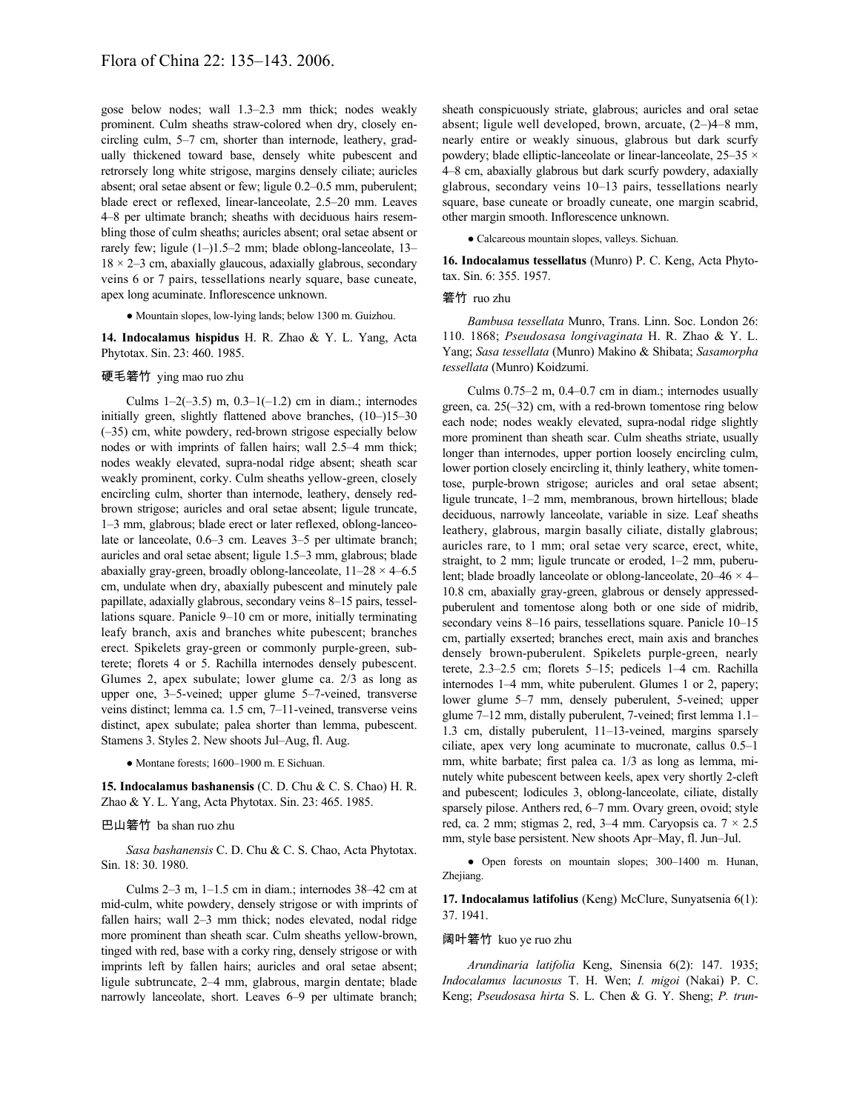gose below nodes; wall 1.3–2.3 mm thick; nodes weakly prominent. Culm sheaths straw-colored when dry, closely encircling culm, 5–7 cm, shorter than internode, leathery, gradually thickened toward base, densely white pubescent and retrorsely long white strigose, margins densely ciliate; auricles absent; oral setae absent or few; ligule 0.2–0.5 mm, puberulent; blade erect or reflexed, linear-lanceolate, 2.5–20 mm. Leaves 4–8 per ultimate branch; sheaths with deciduous hairs resembling those of culm sheaths; auricles absent; oral setae absent or rarely few; ligule (1–)1.5–2 mm; blade oblong-lanceolate, 13–  $18 \times 2 - 3$  cm, abaxially glaucous, adaxially glabrous, secondary veins 6 or 7 pairs, tessellations nearly square, base cuneate, apex long acuminate. Inflorescence unknown.

● Mountain slopes, low-lying lands; below 1300 m. Guizhou.

**14. Indocalamus hispidus** H. R. Zhao & Y. L. Yang, Acta Phytotax. Sin. 23: 460. 1985.

# 硬毛箬竹 ying mao ruo zhu

Culms  $1-2(-3.5)$  m,  $0.3-1(-1.2)$  cm in diam.; internodes initially green, slightly flattened above branches, (10–)15–30 (–35) cm, white powdery, red-brown strigose especially below nodes or with imprints of fallen hairs; wall 2.5–4 mm thick; nodes weakly elevated, supra-nodal ridge absent; sheath scar weakly prominent, corky. Culm sheaths yellow-green, closely encircling culm, shorter than internode, leathery, densely redbrown strigose; auricles and oral setae absent; ligule truncate, 1–3 mm, glabrous; blade erect or later reflexed, oblong-lanceolate or lanceolate, 0.6–3 cm. Leaves 3–5 per ultimate branch; auricles and oral setae absent; ligule 1.5–3 mm, glabrous; blade abaxially gray-green, broadly oblong-lanceolate,  $11-28 \times 4-6.5$ cm, undulate when dry, abaxially pubescent and minutely pale papillate, adaxially glabrous, secondary veins 8–15 pairs, tessellations square. Panicle 9–10 cm or more, initially terminating leafy branch, axis and branches white pubescent; branches erect. Spikelets gray-green or commonly purple-green, subterete; florets 4 or 5. Rachilla internodes densely pubescent. Glumes 2, apex subulate; lower glume ca. 2/3 as long as upper one, 3–5-veined; upper glume 5–7-veined, transverse veins distinct; lemma ca. 1.5 cm, 7–11-veined, transverse veins distinct, apex subulate; palea shorter than lemma, pubescent. Stamens 3. Styles 2. New shoots Jul–Aug, fl. Aug.

● Montane forests; 1600–1900 m. E Sichuan.

**15. Indocalamus bashanensis** (C. D. Chu & C. S. Chao) H. R. Zhao & Y. L. Yang, Acta Phytotax. Sin. 23: 465. 1985.

## 巴山箬竹 ba shan ruo zhu

*Sasa bashanensis* C. D. Chu & C. S. Chao, Acta Phytotax. Sin. 18: 30. 1980.

Culms 2–3 m, 1–1.5 cm in diam.; internodes 38–42 cm at mid-culm, white powdery, densely strigose or with imprints of fallen hairs; wall 2–3 mm thick; nodes elevated, nodal ridge more prominent than sheath scar. Culm sheaths yellow-brown, tinged with red, base with a corky ring, densely strigose or with imprints left by fallen hairs; auricles and oral setae absent; ligule subtruncate, 2–4 mm, glabrous, margin dentate; blade narrowly lanceolate, short. Leaves 6–9 per ultimate branch;

sheath conspicuously striate, glabrous; auricles and oral setae absent; ligule well developed, brown, arcuate, (2–)4–8 mm, nearly entire or weakly sinuous, glabrous but dark scurfy powdery; blade elliptic-lanceolate or linear-lanceolate,  $25-35 \times$ 4–8 cm, abaxially glabrous but dark scurfy powdery, adaxially glabrous, secondary veins 10–13 pairs, tessellations nearly square, base cuneate or broadly cuneate, one margin scabrid, other margin smooth. Inflorescence unknown.

● Calcareous mountain slopes, valleys. Sichuan.

**16. Indocalamus tessellatus** (Munro) P. C. Keng, Acta Phytotax. Sin. 6: 355. 1957.

## 箬竹 ruo zhu

*Bambusa tessellata* Munro, Trans. Linn. Soc. London 26: 110. 1868; *Pseudosasa longivaginata* H. R. Zhao & Y. L. Yang; *Sasa tessellata* (Munro) Makino & Shibata; *Sasamorpha tessellata* (Munro) Koidzumi.

Culms 0.75–2 m, 0.4–0.7 cm in diam.; internodes usually green, ca. 25(–32) cm, with a red-brown tomentose ring below each node; nodes weakly elevated, supra-nodal ridge slightly more prominent than sheath scar. Culm sheaths striate, usually longer than internodes, upper portion loosely encircling culm, lower portion closely encircling it, thinly leathery, white tomentose, purple-brown strigose; auricles and oral setae absent; ligule truncate, 1–2 mm, membranous, brown hirtellous; blade deciduous, narrowly lanceolate, variable in size. Leaf sheaths leathery, glabrous, margin basally ciliate, distally glabrous; auricles rare, to 1 mm; oral setae very scarce, erect, white, straight, to 2 mm; ligule truncate or eroded, 1–2 mm, puberulent; blade broadly lanceolate or oblong-lanceolate, 20–46 × 4– 10.8 cm, abaxially gray-green, glabrous or densely appressedpuberulent and tomentose along both or one side of midrib, secondary veins 8–16 pairs, tessellations square. Panicle 10–15 cm, partially exserted; branches erect, main axis and branches densely brown-puberulent. Spikelets purple-green, nearly terete, 2.3–2.5 cm; florets 5–15; pedicels 1–4 cm. Rachilla internodes 1–4 mm, white puberulent. Glumes 1 or 2, papery; lower glume 5–7 mm, densely puberulent, 5-veined; upper glume 7–12 mm, distally puberulent, 7-veined; first lemma 1.1– 1.3 cm, distally puberulent, 11–13-veined, margins sparsely ciliate, apex very long acuminate to mucronate, callus 0.5–1 mm, white barbate; first palea ca. 1/3 as long as lemma, minutely white pubescent between keels, apex very shortly 2-cleft and pubescent; lodicules 3, oblong-lanceolate, ciliate, distally sparsely pilose. Anthers red, 6–7 mm. Ovary green, ovoid; style red, ca. 2 mm; stigmas 2, red,  $3-4$  mm. Caryopsis ca.  $7 \times 2.5$ mm, style base persistent. New shoots Apr–May, fl. Jun–Jul.

● Open forests on mountain slopes; 300–1400 m. Hunan, Zhejiang.

**17. Indocalamus latifolius** (Keng) McClure, Sunyatsenia 6(1): 37. 1941.

#### 阔叶箬竹 kuo ye ruo zhu

*Arundinaria latifolia* Keng, Sinensia 6(2): 147. 1935; *Indocalamus lacunosus* T. H. Wen; *I. migoi* (Nakai) P. C. Keng; *Pseudosasa hirta* S. L. Chen & G. Y. Sheng; *P. trun*-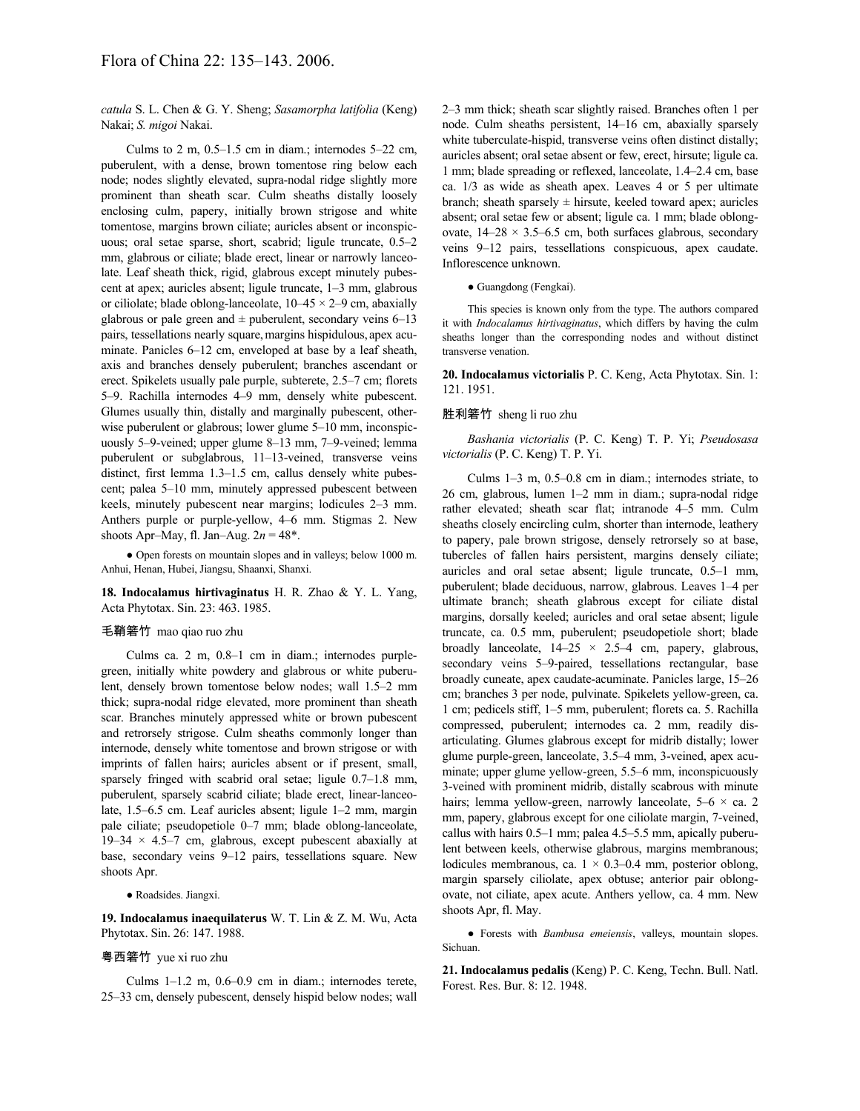*catula* S. L. Chen & G. Y. Sheng; *Sasamorpha latifolia* (Keng) Nakai; *S. migoi* Nakai.

Culms to 2 m,  $0.5-1.5$  cm in diam.; internodes  $5-22$  cm, puberulent, with a dense, brown tomentose ring below each node; nodes slightly elevated, supra-nodal ridge slightly more prominent than sheath scar. Culm sheaths distally loosely enclosing culm, papery, initially brown strigose and white tomentose, margins brown ciliate; auricles absent or inconspicuous; oral setae sparse, short, scabrid; ligule truncate, 0.5–2 mm, glabrous or ciliate; blade erect, linear or narrowly lanceolate. Leaf sheath thick, rigid, glabrous except minutely pubescent at apex; auricles absent; ligule truncate, 1–3 mm, glabrous or ciliolate; blade oblong-lanceolate,  $10-45 \times 2-9$  cm, abaxially glabrous or pale green and  $\pm$  puberulent, secondary veins 6–13 pairs, tessellations nearly square,margins hispidulous, apex acuminate. Panicles 6–12 cm, enveloped at base by a leaf sheath, axis and branches densely puberulent; branches ascendant or erect. Spikelets usually pale purple, subterete, 2.5–7 cm; florets 5–9. Rachilla internodes 4–9 mm, densely white pubescent. Glumes usually thin, distally and marginally pubescent, otherwise puberulent or glabrous; lower glume 5–10 mm, inconspicuously 5–9-veined; upper glume 8–13 mm, 7–9-veined; lemma puberulent or subglabrous, 11–13-veined, transverse veins distinct, first lemma 1.3–1.5 cm, callus densely white pubescent; palea 5–10 mm, minutely appressed pubescent between keels, minutely pubescent near margins; lodicules 2–3 mm. Anthers purple or purple-yellow, 4–6 mm. Stigmas 2. New shoots Apr–May, fl. Jan–Aug. 2*n* = 48\*.

● Open forests on mountain slopes and in valleys; below 1000 m. Anhui, Henan, Hubei, Jiangsu, Shaanxi, Shanxi.

**18. Indocalamus hirtivaginatus** H. R. Zhao & Y. L. Yang, Acta Phytotax. Sin. 23: 463. 1985.

### 毛鞘箬竹 mao qiao ruo zhu

Culms ca. 2 m, 0.8–1 cm in diam.; internodes purplegreen, initially white powdery and glabrous or white puberulent, densely brown tomentose below nodes; wall 1.5–2 mm thick; supra-nodal ridge elevated, more prominent than sheath scar. Branches minutely appressed white or brown pubescent and retrorsely strigose. Culm sheaths commonly longer than internode, densely white tomentose and brown strigose or with imprints of fallen hairs; auricles absent or if present, small, sparsely fringed with scabrid oral setae; ligule 0.7–1.8 mm, puberulent, sparsely scabrid ciliate; blade erect, linear-lanceolate, 1.5–6.5 cm. Leaf auricles absent; ligule 1–2 mm, margin pale ciliate; pseudopetiole 0–7 mm; blade oblong-lanceolate, 19–34  $\times$  4.5–7 cm, glabrous, except pubescent abaxially at base, secondary veins 9–12 pairs, tessellations square. New shoots Apr.

● Roadsides. Jiangxi.

**19. Indocalamus inaequilaterus** W. T. Lin & Z. M. Wu, Acta Phytotax. Sin. 26: 147. 1988.

#### 粤西箬竹 yue xi ruo zhu

Culms 1–1.2 m, 0.6–0.9 cm in diam.; internodes terete, 25–33 cm, densely pubescent, densely hispid below nodes; wall 2–3 mm thick; sheath scar slightly raised. Branches often 1 per node. Culm sheaths persistent, 14–16 cm, abaxially sparsely white tuberculate-hispid, transverse veins often distinct distally; auricles absent; oral setae absent or few, erect, hirsute; ligule ca. 1 mm; blade spreading or reflexed, lanceolate, 1.4–2.4 cm, base ca. 1/3 as wide as sheath apex. Leaves 4 or 5 per ultimate branch; sheath sparsely  $\pm$  hirsute, keeled toward apex; auricles absent; oral setae few or absent; ligule ca. 1 mm; blade oblongovate,  $14-28 \times 3.5-6.5$  cm, both surfaces glabrous, secondary veins 9–12 pairs, tessellations conspicuous, apex caudate. Inflorescence unknown.

#### ● Guangdong (Fengkai).

This species is known only from the type. The authors compared it with *Indocalamus hirtivaginatus*, which differs by having the culm sheaths longer than the corresponding nodes and without distinct transverse venation.

**20. Indocalamus victorialis** P. C. Keng, Acta Phytotax. Sin. 1: 121. 1951.

#### 胜利箬竹 sheng li ruo zhu

*Bashania victorialis* (P. C. Keng) T. P. Yi; *Pseudosasa victorialis* (P. C. Keng) T. P. Yi.

Culms 1–3 m, 0.5–0.8 cm in diam.; internodes striate, to 26 cm, glabrous, lumen 1–2 mm in diam.; supra-nodal ridge rather elevated; sheath scar flat; intranode 4–5 mm. Culm sheaths closely encircling culm, shorter than internode, leathery to papery, pale brown strigose, densely retrorsely so at base, tubercles of fallen hairs persistent, margins densely ciliate; auricles and oral setae absent; ligule truncate, 0.5–1 mm, puberulent; blade deciduous, narrow, glabrous. Leaves 1–4 per ultimate branch; sheath glabrous except for ciliate distal margins, dorsally keeled; auricles and oral setae absent; ligule truncate, ca. 0.5 mm, puberulent; pseudopetiole short; blade broadly lanceolate,  $14-25 \times 2.5-4$  cm, papery, glabrous, secondary veins 5–9-paired, tessellations rectangular, base broadly cuneate, apex caudate-acuminate. Panicles large, 15–26 cm; branches 3 per node, pulvinate. Spikelets yellow-green, ca. 1 cm; pedicels stiff, 1–5 mm, puberulent; florets ca. 5. Rachilla compressed, puberulent; internodes ca. 2 mm, readily disarticulating. Glumes glabrous except for midrib distally; lower glume purple-green, lanceolate, 3.5–4 mm, 3-veined, apex acuminate; upper glume yellow-green, 5.5–6 mm, inconspicuously 3-veined with prominent midrib, distally scabrous with minute hairs; lemma yellow-green, narrowly lanceolate,  $5-6 \times ca$ . 2 mm, papery, glabrous except for one ciliolate margin, 7-veined, callus with hairs 0.5–1 mm; palea 4.5–5.5 mm, apically puberulent between keels, otherwise glabrous, margins membranous; lodicules membranous, ca.  $1 \times 0.3 - 0.4$  mm, posterior oblong, margin sparsely ciliolate, apex obtuse; anterior pair oblongovate, not ciliate, apex acute. Anthers yellow, ca. 4 mm. New shoots Apr, fl. May.

● Forests with *Bambusa emeiensis*, valleys, mountain slopes. Sichuan.

**21. Indocalamus pedalis** (Keng) P. C. Keng, Techn. Bull. Natl. Forest. Res. Bur. 8: 12. 1948.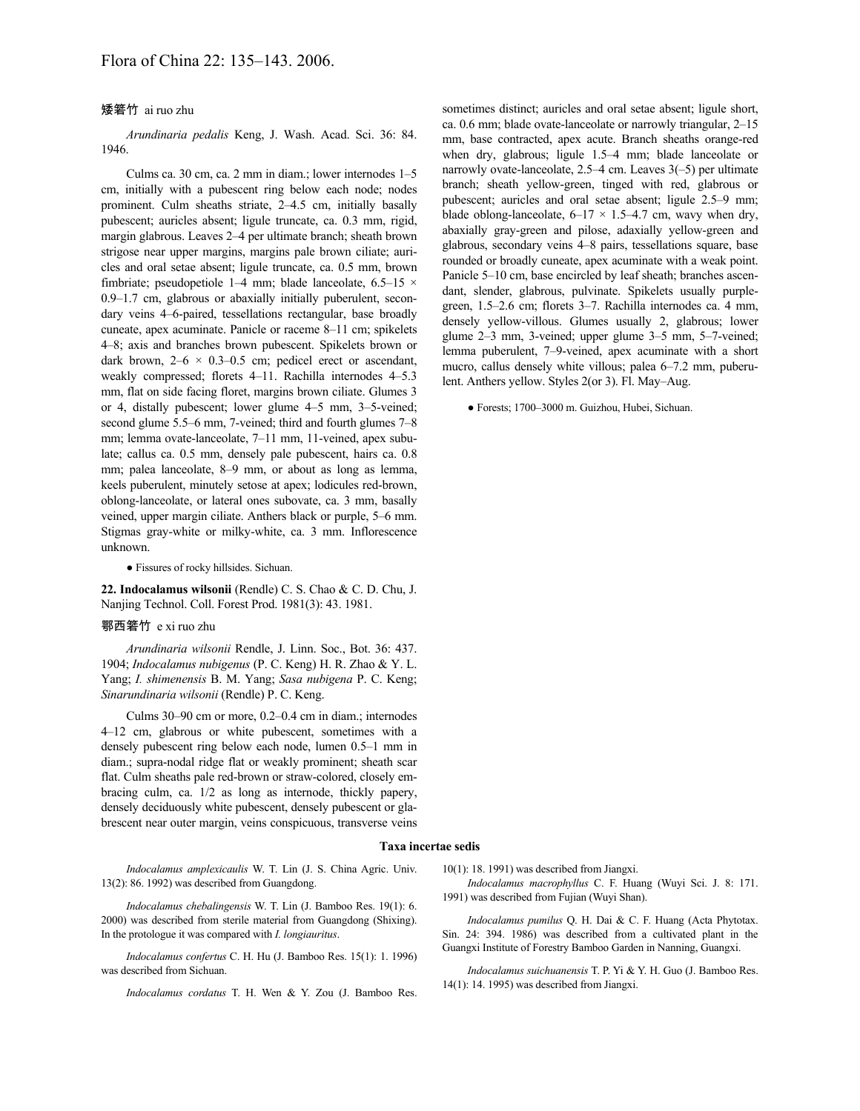# 矮箬竹 ai ruo zhu

*Arundinaria pedalis* Keng, J. Wash. Acad. Sci. 36: 84. 1946.

Culms ca. 30 cm, ca. 2 mm in diam.; lower internodes 1–5 cm, initially with a pubescent ring below each node; nodes prominent. Culm sheaths striate, 2–4.5 cm, initially basally pubescent; auricles absent; ligule truncate, ca. 0.3 mm, rigid, margin glabrous. Leaves 2–4 per ultimate branch; sheath brown strigose near upper margins, margins pale brown ciliate; auricles and oral setae absent; ligule truncate, ca. 0.5 mm, brown fimbriate; pseudopetiole 1–4 mm; blade lanceolate,  $6.5-15 \times$ 0.9–1.7 cm, glabrous or abaxially initially puberulent, secondary veins 4–6-paired, tessellations rectangular, base broadly cuneate, apex acuminate. Panicle or raceme 8–11 cm; spikelets 4–8; axis and branches brown pubescent. Spikelets brown or dark brown,  $2-6 \times 0.3-0.5$  cm; pedicel erect or ascendant, weakly compressed; florets 4–11. Rachilla internodes 4–5.3 mm, flat on side facing floret, margins brown ciliate. Glumes 3 or 4, distally pubescent; lower glume 4–5 mm, 3–5-veined; second glume 5.5–6 mm, 7-veined; third and fourth glumes 7–8 mm; lemma ovate-lanceolate, 7–11 mm, 11-veined, apex subulate; callus ca. 0.5 mm, densely pale pubescent, hairs ca. 0.8 mm; palea lanceolate, 8–9 mm, or about as long as lemma, keels puberulent, minutely setose at apex; lodicules red-brown, oblong-lanceolate, or lateral ones subovate, ca. 3 mm, basally veined, upper margin ciliate. Anthers black or purple, 5–6 mm. Stigmas gray-white or milky-white, ca. 3 mm. Inflorescence unknown.

● Fissures of rocky hillsides. Sichuan.

**22. Indocalamus wilsonii** (Rendle) C. S. Chao & C. D. Chu, J. Nanjing Technol. Coll. Forest Prod. 1981(3): 43. 1981.

#### 鄂西箬竹 e xi ruo zhu

*Arundinaria wilsonii* Rendle, J. Linn. Soc., Bot. 36: 437. 1904; *Indocalamus nubigenus* (P. C. Keng) H. R. Zhao & Y. L. Yang; *I. shimenensis* B. M. Yang; *Sasa nubigena* P. C. Keng; *Sinarundinaria wilsonii* (Rendle) P. C. Keng.

Culms 30–90 cm or more, 0.2–0.4 cm in diam.; internodes 4–12 cm, glabrous or white pubescent, sometimes with a densely pubescent ring below each node, lumen 0.5–1 mm in diam.; supra-nodal ridge flat or weakly prominent; sheath scar flat. Culm sheaths pale red-brown or straw-colored, closely embracing culm, ca. 1/2 as long as internode, thickly papery, densely deciduously white pubescent, densely pubescent or glabrescent near outer margin, veins conspicuous, transverse veins

sometimes distinct; auricles and oral setae absent; ligule short, ca. 0.6 mm; blade ovate-lanceolate or narrowly triangular, 2–15 mm, base contracted, apex acute. Branch sheaths orange-red when dry, glabrous; ligule 1.5–4 mm; blade lanceolate or narrowly ovate-lanceolate, 2.5–4 cm. Leaves 3(–5) per ultimate branch; sheath yellow-green, tinged with red, glabrous or pubescent; auricles and oral setae absent; ligule 2.5–9 mm; blade oblong-lanceolate,  $6-17 \times 1.5-4.7$  cm, wavy when dry, abaxially gray-green and pilose, adaxially yellow-green and glabrous, secondary veins 4–8 pairs, tessellations square, base rounded or broadly cuneate, apex acuminate with a weak point. Panicle 5–10 cm, base encircled by leaf sheath; branches ascendant, slender, glabrous, pulvinate. Spikelets usually purplegreen, 1.5–2.6 cm; florets 3–7. Rachilla internodes ca. 4 mm, densely yellow-villous. Glumes usually 2, glabrous; lower glume 2–3 mm, 3-veined; upper glume 3–5 mm, 5–7-veined; lemma puberulent, 7–9-veined, apex acuminate with a short mucro, callus densely white villous; palea 6–7.2 mm, puberulent. Anthers yellow. Styles 2(or 3). Fl. May–Aug.

● Forests; 1700–3000 m. Guizhou, Hubei, Sichuan.

#### **Taxa incertae sedis**

*Indocalamus amplexicaulis* W. T. Lin (J. S. China Agric. Univ. 13(2): 86. 1992) was described from Guangdong.

*Indocalamus chebalingensis* W. T. Lin (J. Bamboo Res. 19(1): 6. 2000) was described from sterile material from Guangdong (Shixing). In the protologue it was compared with *I. longiauritus*.

*Indocalamus confertus* C. H. Hu (J. Bamboo Res. 15(1): 1. 1996) was described from Sichuan.

*Indocalamus cordatus* T. H. Wen & Y. Zou (J. Bamboo Res.

10(1): 18. 1991) was described from Jiangxi.

*Indocalamus macrophyllus* C. F. Huang (Wuyi Sci. J. 8: 171. 1991) was described from Fujian (Wuyi Shan).

*Indocalamus pumilus* Q. H. Dai & C. F. Huang (Acta Phytotax. Sin. 24: 394. 1986) was described from a cultivated plant in the Guangxi Institute of Forestry Bamboo Garden in Nanning, Guangxi.

*Indocalamus suichuanensis* T. P. Yi & Y. H. Guo (J. Bamboo Res. 14(1): 14. 1995) was described from Jiangxi.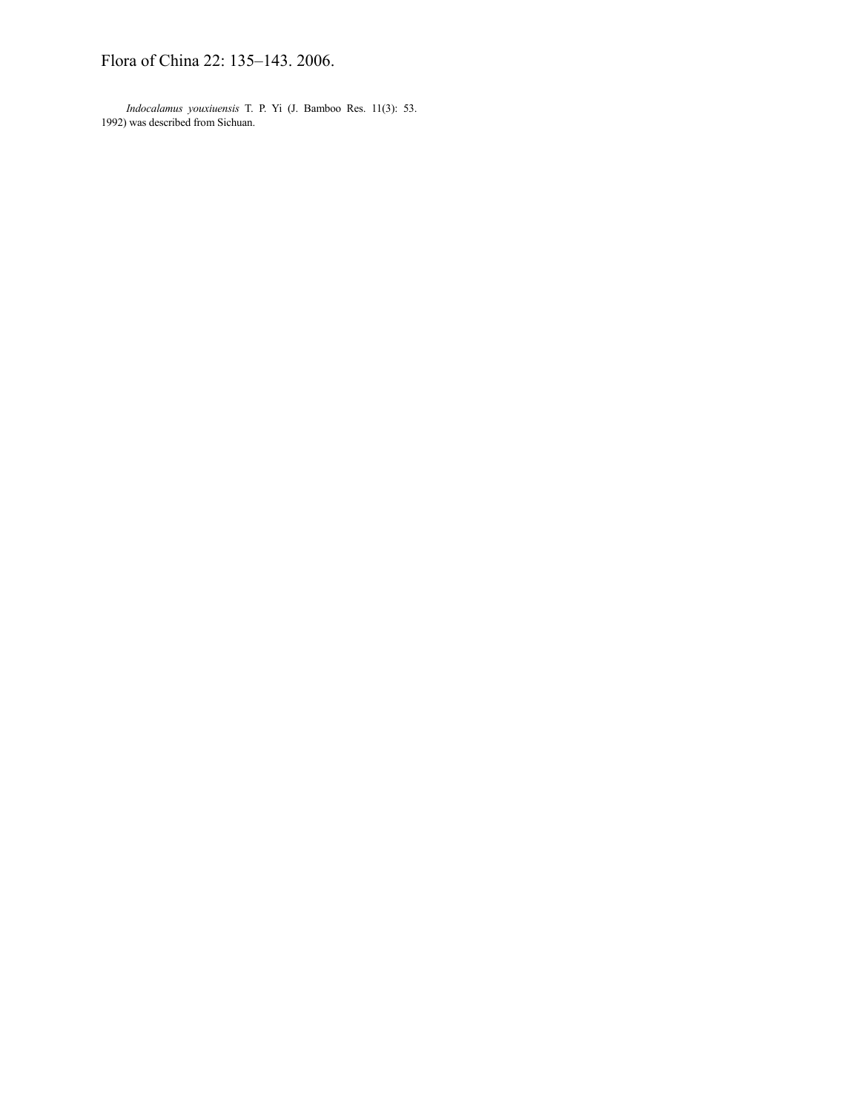Flora of China 22: 135–143. 2006.

*Indocalamus youxiuensis* T. P. Yi (J. Bamboo Res. 11(3): 53. 1992) was described from Sichuan.